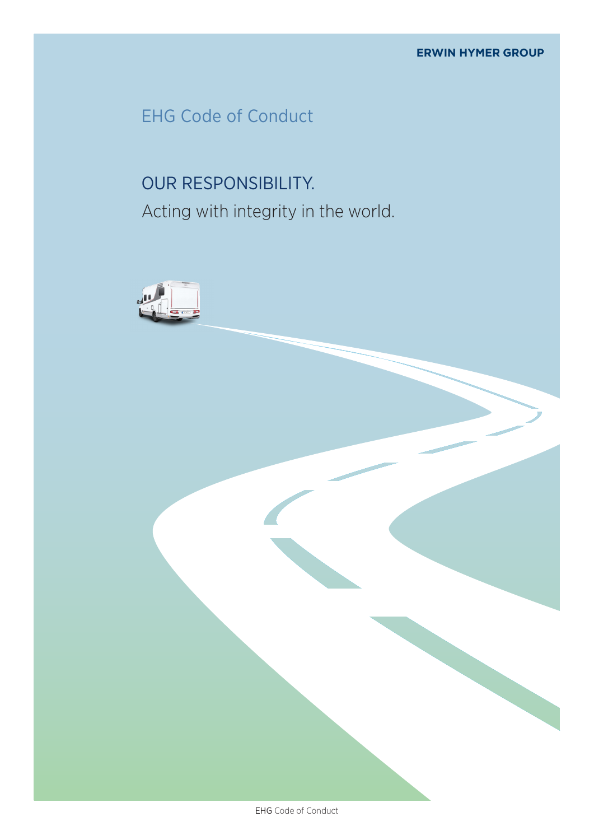# EHG Code of Conduct

# OUR RESPONSIBILITY. Acting with integrity in the world.



EHG Code of Conduct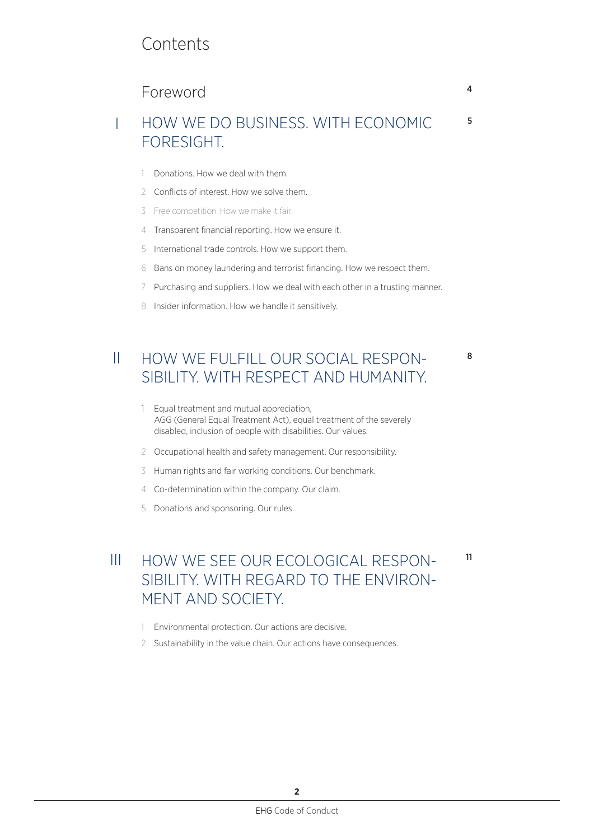## Contents

## Foreword

## HOW WE DO BUSINESS. WITH ECONOMIC FORESIGHT. I

- 1 Donations. How we deal with them.
- 2 Conflicts of interest. How we solve them.
- 3 Free competition. How we make it fair.
- 4 Transparent financial reporting. How we ensure it.
- 5 International trade controls. How we support them.
- 6 Bans on money laundering and terrorist financing. How we respect them.
- 7 Purchasing and suppliers. How we deal with each other in a trusting manner.
- 8 Insider information. How we handle it sensitively.

### HOW WE FULFILL OUR SOCIAL RESPON-SIBILITY. WITH RESPECT AND HUMANITY. II

8

11

4

5

1 Equal treatment and mutual appreciation, AGG (General Equal Treatment Act), equal treatment of the severely disabled, inclusion of people with disabilities. Our values.

- 2 Occupational health and safety management. Our responsibility.
- 3 Human rights and fair working conditions. Our benchmark.
- 4 Co-determination within the company. Our claim.
- 5 Donations and sponsoring. Our rules.

## HOW WE SEE OUR ECOLOGICAL RESPON-SIBILITY. WITH REGARD TO THE ENVIRON-MENT AND SOCIETY. III

- 
- 1 Environmental protection. Our actions are decisive.
- 2 Sustainability in the value chain. Our actions have consequences.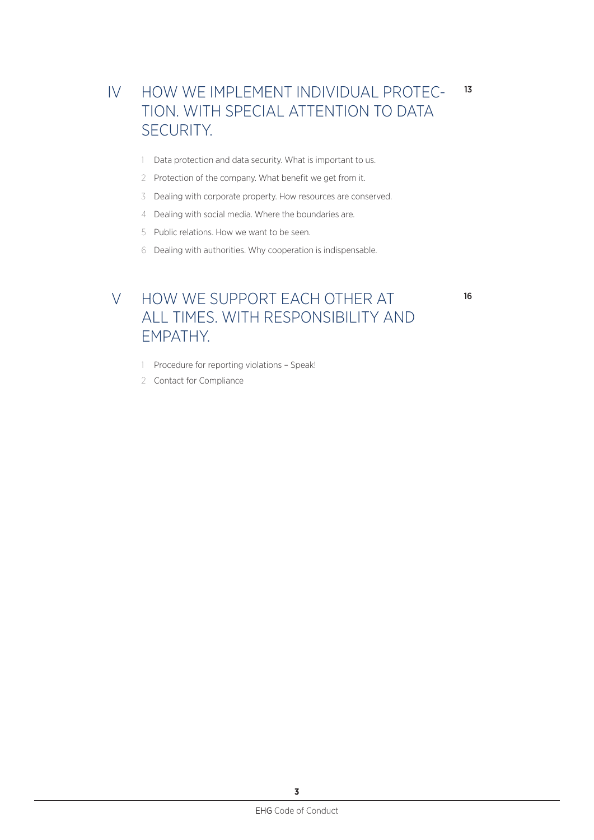13

16

## HOW WE IMPLEMENT INDIVIDUAL PROTEC-TION. WITH SPECIAL ATTENTION TO DATA SECURITY. IV

- 1 Data protection and data security. What is important to us.
- 2 Protection of the company. What benefit we get from it.
- 3 Dealing with corporate property. How resources are conserved.
- 4 Dealing with social media. Where the boundaries are.
- 5 Public relations. How we want to be seen.
- 6 Dealing with authorities. Why cooperation is indispensable.

## HOW WE SUPPORT EACH OTHER AT ALL TIMES. WITH RESPONSIBILITY AND EMPATHY. V

- 1 Procedure for reporting violations Speak!
- 2 Contact for Compliance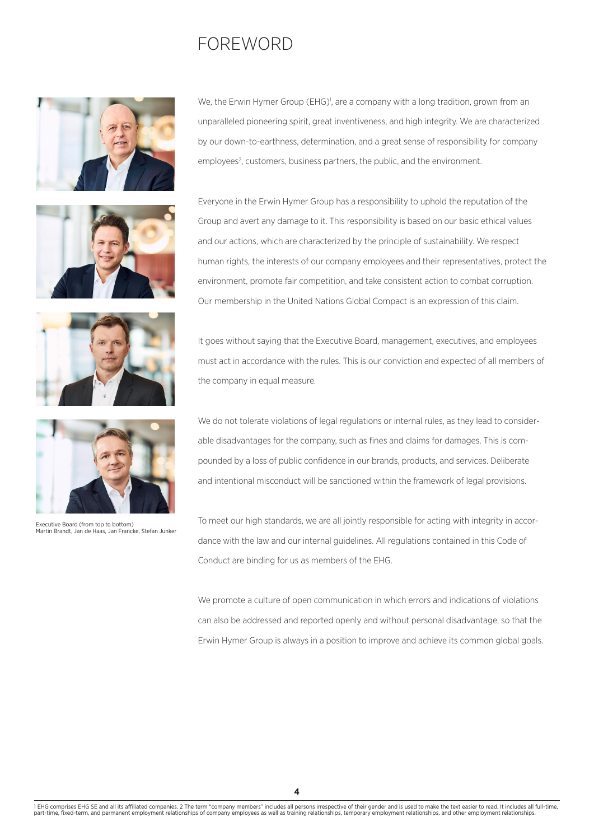## FOREWORD









Executive Board (from top to bottom) Martin Brandt, Jan de Haas, Jan Francke, Stefan Junker

We, the Erwin Hymer Group (EHG)<sup>1</sup>, are a company with a long tradition, grown from an unparalleled pioneering spirit, great inventiveness, and high integrity. We are characterized by our down-to-earthness, determination, and a great sense of responsibility for company employees<sup>2</sup>, customers, business partners, the public, and the environment.

Everyone in the Erwin Hymer Group has a responsibility to uphold the reputation of the Group and avert any damage to it. This responsibility is based on our basic ethical values and our actions, which are characterized by the principle of sustainability. We respect human rights, the interests of our company employees and their representatives, protect the environment, promote fair competition, and take consistent action to combat corruption. Our membership in the United Nations Global Compact is an expression of this claim.

It goes without saying that the Executive Board, management, executives, and employees must act in accordance with the rules. This is our conviction and expected of all members of the company in equal measure.

We do not tolerate violations of legal regulations or internal rules, as they lead to considerable disadvantages for the company, such as fines and claims for damages. This is compounded by a loss of public confidence in our brands, products, and services. Deliberate and intentional misconduct will be sanctioned within the framework of legal provisions.

To meet our high standards, we are all jointly responsible for acting with integrity in accordance with the law and our internal guidelines. All regulations contained in this Code of Conduct are binding for us as members of the EHG.

We promote a culture of open communication in which errors and indications of violations can also be addressed and reported openly and without personal disadvantage, so that the Erwin Hymer Group is always in a position to improve and achieve its common global goals.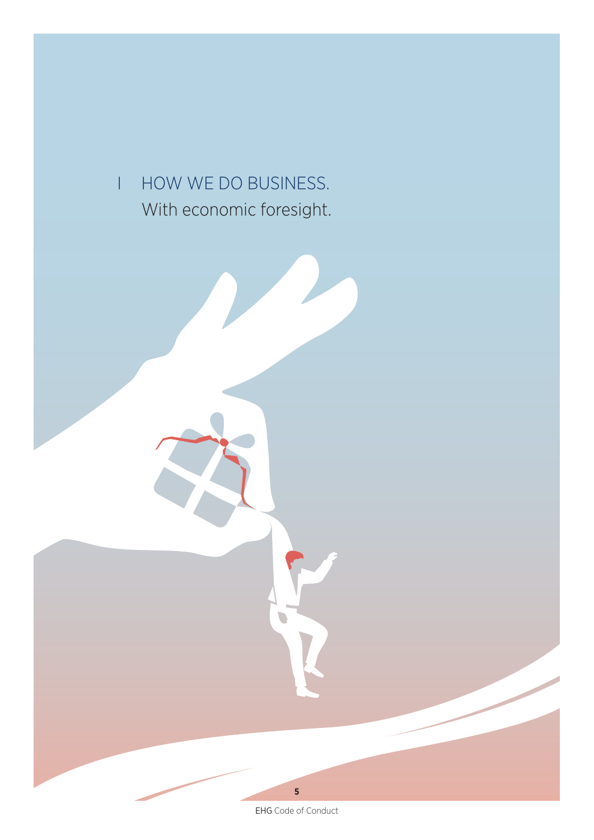

**5**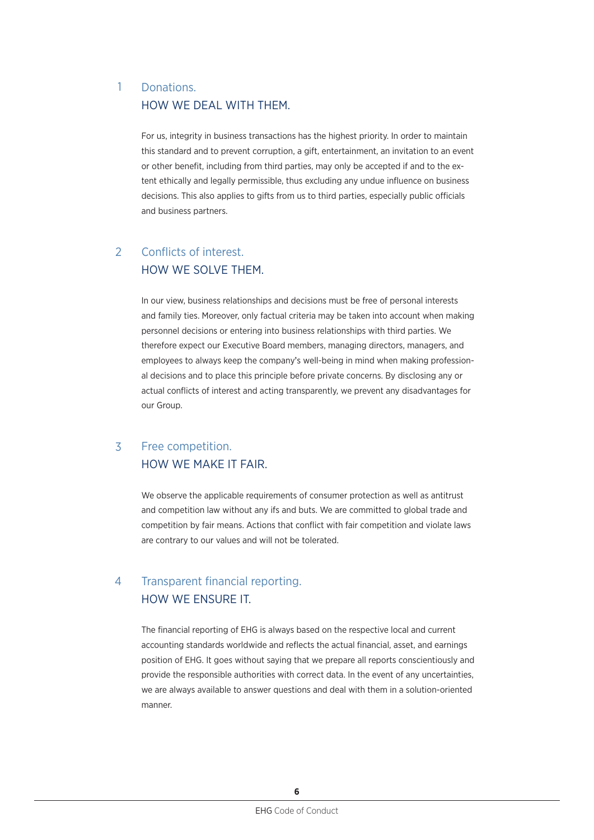#### Donations. HOW WE DEAL WITH THEM. 1

For us, integrity in business transactions has the highest priority. In order to maintain this standard and to prevent corruption, a gift, entertainment, an invitation to an event or other benefit, including from third parties, may only be accepted if and to the extent ethically and legally permissible, thus excluding any undue influence on business decisions. This also applies to gifts from us to third parties, especially public officials and business partners.

#### Conflicts of interest. HOW WE SOLVE THEM. 2

In our view, business relationships and decisions must be free of personal interests and family ties. Moreover, only factual criteria may be taken into account when making personnel decisions or entering into business relationships with third parties. We therefore expect our Executive Board members, managing directors, managers, and employees to always keep the company's well-being in mind when making professional decisions and to place this principle before private concerns. By disclosing any or actual conflicts of interest and acting transparently, we prevent any disadvantages for our Group.

#### Free competition. HOW WE MAKE IT FAIR. 3

We observe the applicable requirements of consumer protection as well as antitrust and competition law without any ifs and buts. We are committed to global trade and competition by fair means. Actions that conflict with fair competition and violate laws are contrary to our values and will not be tolerated.

#### Transparent financial reporting. HOW WE ENSURE IT. 4

The financial reporting of EHG is always based on the respective local and current accounting standards worldwide and reflects the actual financial, asset, and earnings position of EHG. It goes without saying that we prepare all reports conscientiously and provide the responsible authorities with correct data. In the event of any uncertainties, we are always available to answer questions and deal with them in a solution-oriented manner.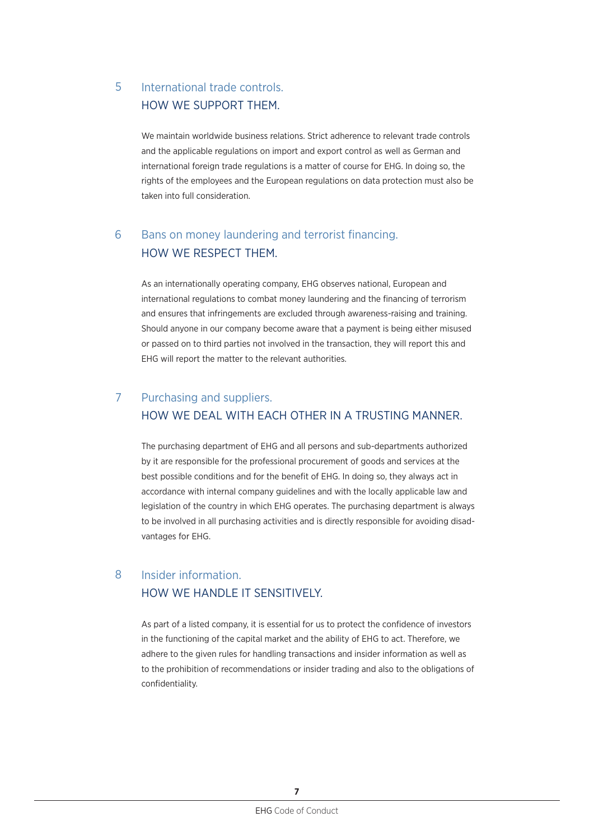#### International trade controls. HOW WE SUPPORT THEM. 5

We maintain worldwide business relations. Strict adherence to relevant trade controls and the applicable regulations on import and export control as well as German and international foreign trade regulations is a matter of course for EHG. In doing so, the rights of the employees and the European regulations on data protection must also be taken into full consideration.

#### Bans on money laundering and terrorist financing. HOW WE RESPECT THEM. 6

As an internationally operating company, EHG observes national, European and international regulations to combat money laundering and the financing of terrorism and ensures that infringements are excluded through awareness-raising and training. Should anyone in our company become aware that a payment is being either misused or passed on to third parties not involved in the transaction, they will report this and EHG will report the matter to the relevant authorities.

#### Purchasing and suppliers. HOW WE DEAL WITH EACH OTHER IN A TRUSTING MANNER. 7

The purchasing department of EHG and all persons and sub-departments authorized by it are responsible for the professional procurement of goods and services at the best possible conditions and for the benefit of EHG. In doing so, they always act in accordance with internal company guidelines and with the locally applicable law and legislation of the country in which EHG operates. The purchasing department is always to be involved in all purchasing activities and is directly responsible for avoiding disadvantages for EHG.

#### Insider information. HOW WE HANDLE IT SENSITIVELY. 8

As part of a listed company, it is essential for us to protect the confidence of investors in the functioning of the capital market and the ability of EHG to act. Therefore, we adhere to the given rules for handling transactions and insider information as well as to the prohibition of recommendations or insider trading and also to the obligations of confidentiality.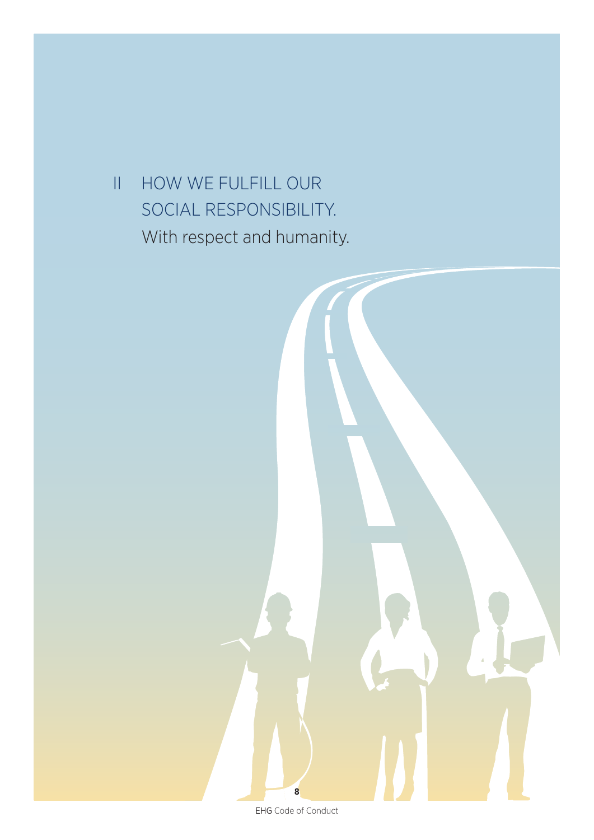HOW WE FULFILL OUR SOCIAL RESPONSIBILITY. With respect and humanity.  $\overline{\prod}$ 



EHG Code of Conduct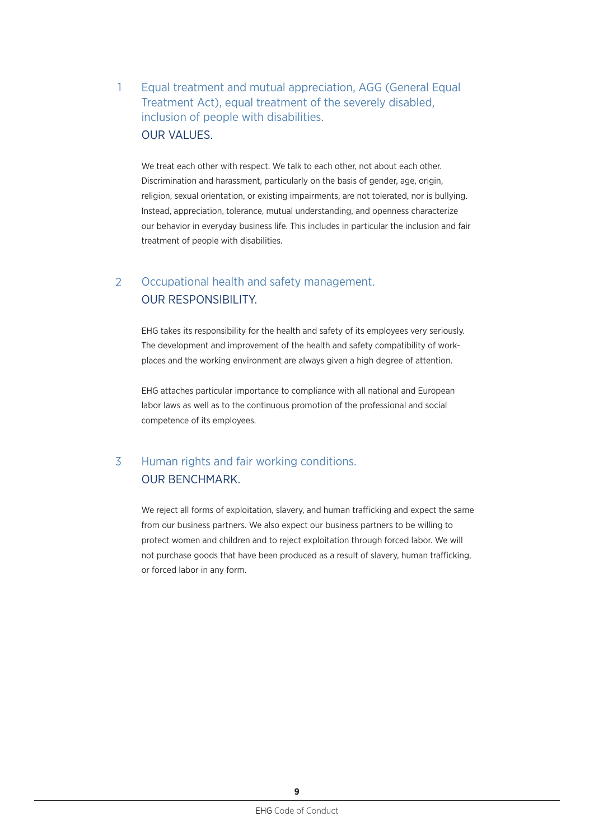Equal treatment and mutual appreciation, AGG (General Equal Treatment Act), equal treatment of the severely disabled, inclusion of people with disabilities. OUR VALUES. 1

We treat each other with respect. We talk to each other, not about each other. Discrimination and harassment, particularly on the basis of gender, age, origin, religion, sexual orientation, or existing impairments, are not tolerated, nor is bullying. Instead, appreciation, tolerance, mutual understanding, and openness characterize our behavior in everyday business life. This includes in particular the inclusion and fair treatment of people with disabilities.

#### Occupational health and safety management. OUR RESPONSIBILITY.  $\mathcal{L}$

EHG takes its responsibility for the health and safety of its employees very seriously. The development and improvement of the health and safety compatibility of workplaces and the working environment are always given a high degree of attention.

EHG attaches particular importance to compliance with all national and European labor laws as well as to the continuous promotion of the professional and social competence of its employees.

#### Human rights and fair working conditions. OUR BENCHMARK. 3

We reject all forms of exploitation, slavery, and human trafficking and expect the same from our business partners. We also expect our business partners to be willing to protect women and children and to reject exploitation through forced labor. We will not purchase goods that have been produced as a result of slavery, human trafficking, or forced labor in any form.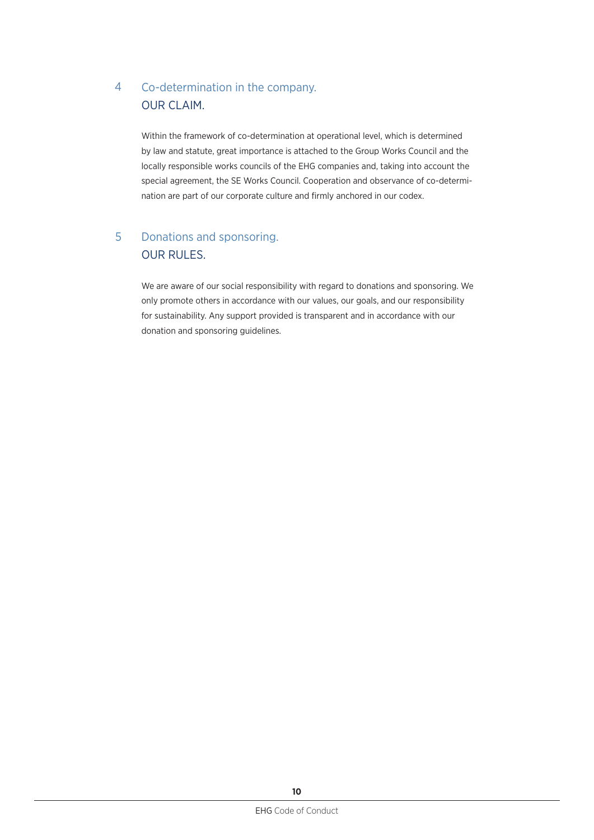#### Co-determination in the company. OUR CLAIM. 4

Within the framework of co-determination at operational level, which is determined by law and statute, great importance is attached to the Group Works Council and the locally responsible works councils of the EHG companies and, taking into account the special agreement, the SE Works Council. Cooperation and observance of co-determination are part of our corporate culture and firmly anchored in our codex.

#### Donations and sponsoring. OUR RULES. 5

We are aware of our social responsibility with regard to donations and sponsoring. We only promote others in accordance with our values, our goals, and our responsibility for sustainability. Any support provided is transparent and in accordance with our donation and sponsoring guidelines.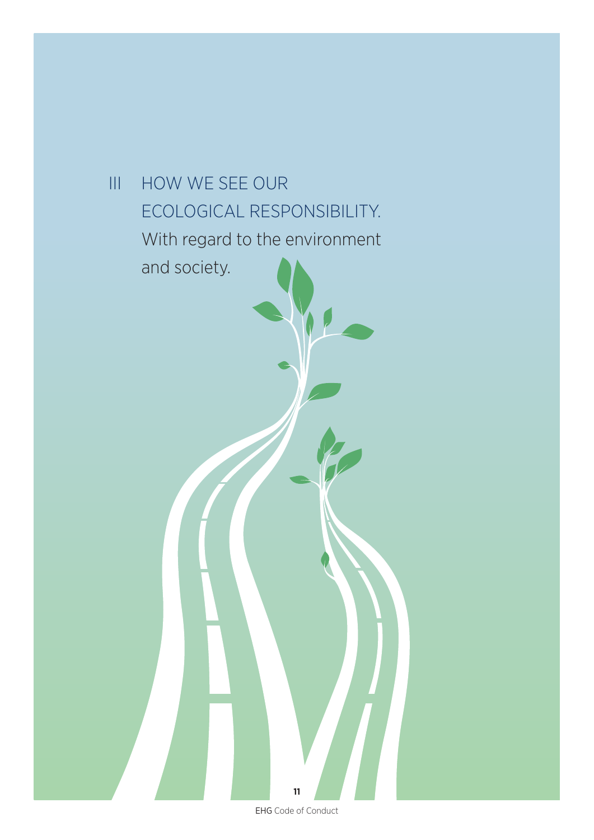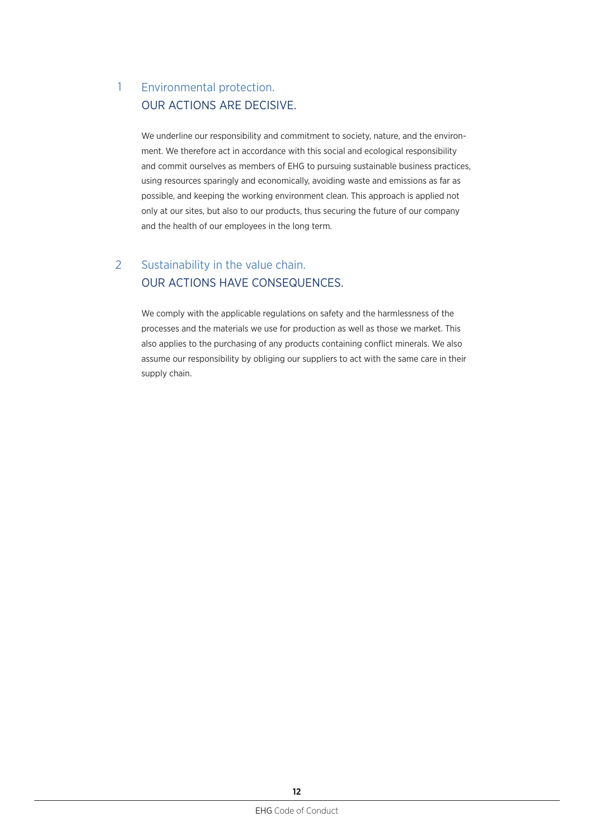#### Environmental protection. OUR ACTIONS ARE DECISIVE. 1

We underline our responsibility and commitment to society, nature, and the environment. We therefore act in accordance with this social and ecological responsibility and commit ourselves as members of EHG to pursuing sustainable business practices, using resources sparingly and economically, avoiding waste and emissions as far as possible, and keeping the working environment clean. This approach is applied not only at our sites, but also to our products, thus securing the future of our company and the health of our employees in the long term.

#### Sustainability in the value chain. OUR ACTIONS HAVE CONSEQUENCES. 2

We comply with the applicable regulations on safety and the harmlessness of the processes and the materials we use for production as well as those we market. This also applies to the purchasing of any products containing conflict minerals. We also assume our responsibility by obliging our suppliers to act with the same care in their supply chain.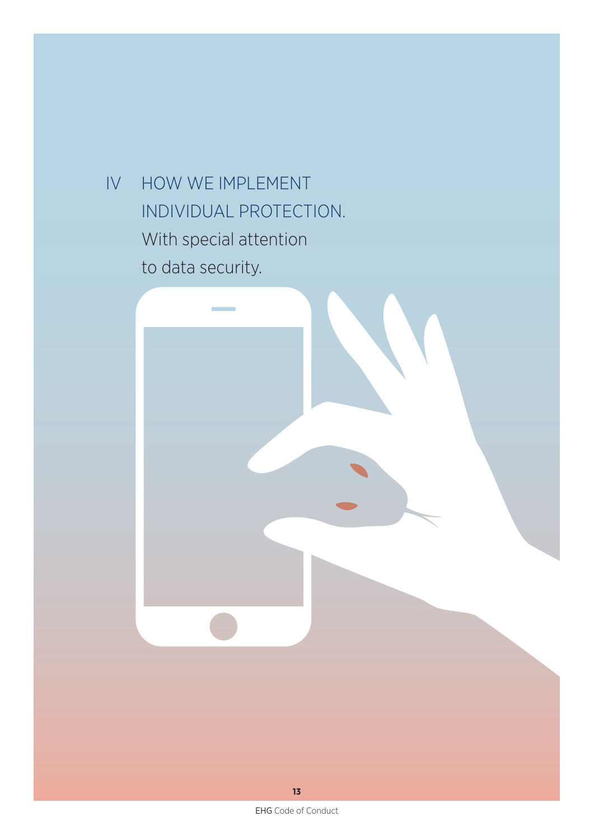IV HOW WE IMPLEMENT INDIVIDUAL PROTECTION. With special attention to data security.

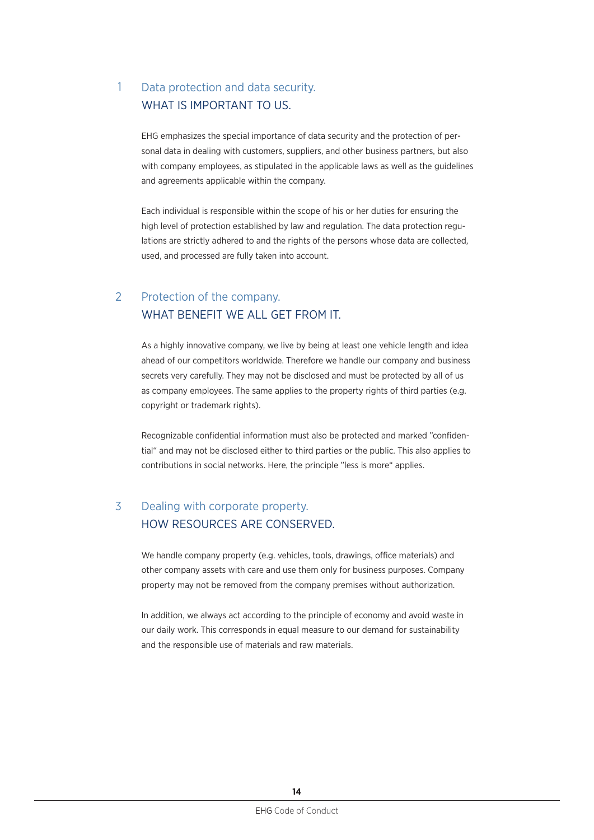#### Data protection and data security. WHAT IS IMPORTANT TO US. 1

EHG emphasizes the special importance of data security and the protection of personal data in dealing with customers, suppliers, and other business partners, but also with company employees, as stipulated in the applicable laws as well as the guidelines and agreements applicable within the company.

Each individual is responsible within the scope of his or her duties for ensuring the high level of protection established by law and regulation. The data protection regulations are strictly adhered to and the rights of the persons whose data are collected, used, and processed are fully taken into account.

#### Protection of the company. WHAT BENEFIT WE ALL GET FROM IT. 2

As a highly innovative company, we live by being at least one vehicle length and idea ahead of our competitors worldwide. Therefore we handle our company and business secrets very carefully. They may not be disclosed and must be protected by all of us as company employees. The same applies to the property rights of third parties (e.g. copyright or trademark rights).

Recognizable confidential information must also be protected and marked "confidential" and may not be disclosed either to third parties or the public. This also applies to contributions in social networks. Here, the principle "less is more" applies.

#### Dealing with corporate property. HOW RESOURCES ARE CONSERVED. 3

We handle company property (e.g. vehicles, tools, drawings, office materials) and other company assets with care and use them only for business purposes. Company property may not be removed from the company premises without authorization.

In addition, we always act according to the principle of economy and avoid waste in our daily work. This corresponds in equal measure to our demand for sustainability and the responsible use of materials and raw materials.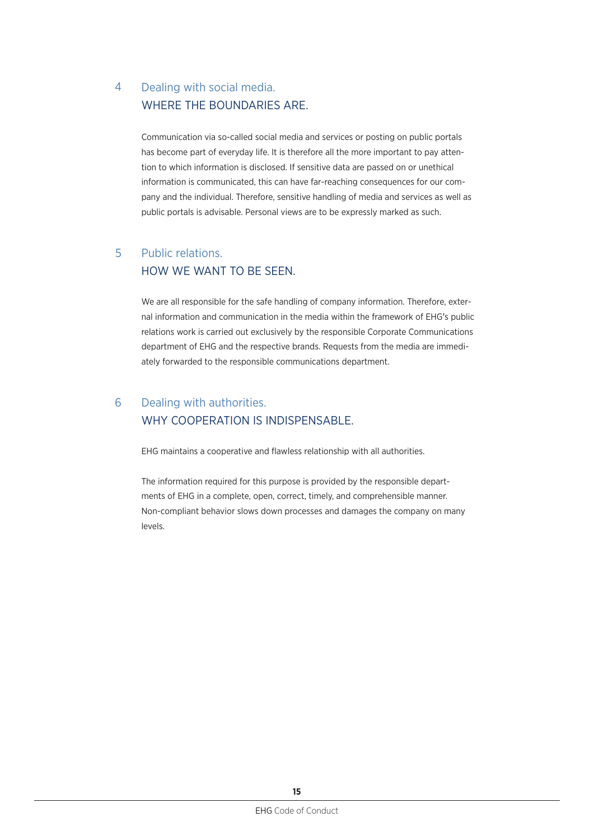#### Dealing with social media. WHERE THE BOUNDARIES ARE. 4

Communication via so-called social media and services or posting on public portals has become part of everyday life. It is therefore all the more important to pay attention to which information is disclosed. If sensitive data are passed on or unethical information is communicated, this can have far-reaching consequences for our company and the individual. Therefore, sensitive handling of media and services as well as public portals is advisable. Personal views are to be expressly marked as such.

#### Public relations. HOW WE WANT TO BE SEEN. 5

We are all responsible for the safe handling of company information. Therefore, external information and communication in the media within the framework of EHG's public relations work is carried out exclusively by the responsible Corporate Communications department of EHG and the respective brands. Requests from the media are immediately forwarded to the responsible communications department.

#### Dealing with authorities. WHY COOPERATION IS INDISPENSABLE. 6

EHG maintains a cooperative and flawless relationship with all authorities.

The information required for this purpose is provided by the responsible departments of EHG in a complete, open, correct, timely, and comprehensible manner. Non-compliant behavior slows down processes and damages the company on many levels.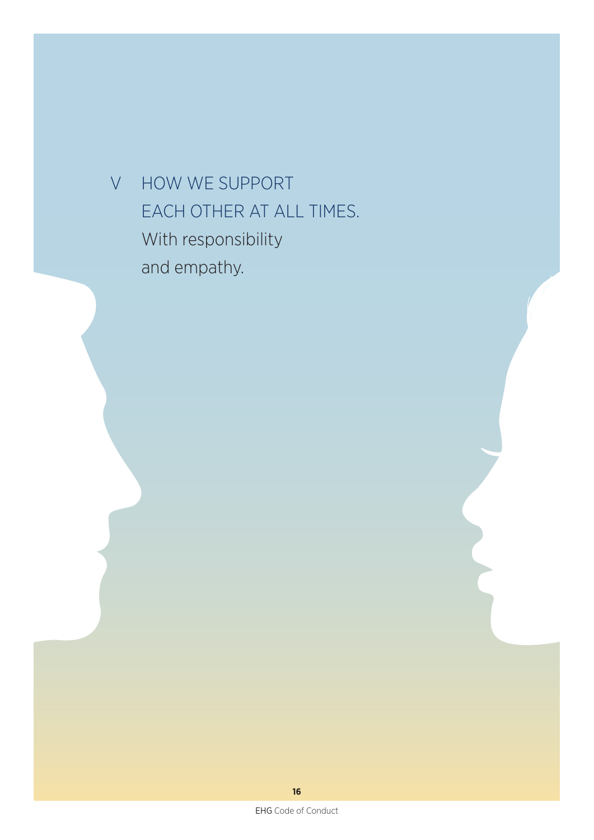V HOW WE SUPPORT EACH OTHER AT ALL TIMES. With responsibility and empathy.